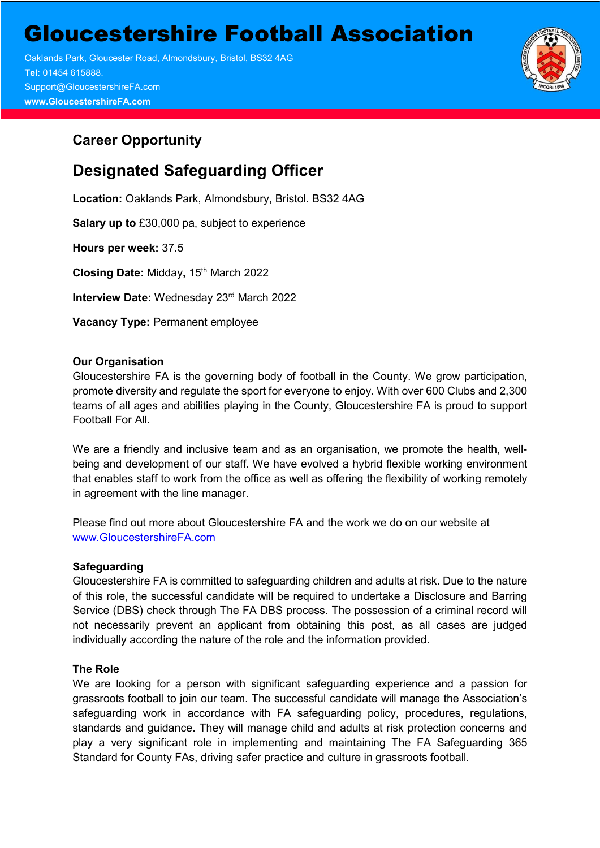Gloucestershire Football Association

 Oaklands Park, Gloucester Road, Almondsbury, Bristol, BS32 4AG **Tel**: 01454 615888. Support@GloucestershireFA.com **www.GloucestershireFA.com**

# **Career Opportunity**

# **Designated Safeguarding Officer**

**Location:** Oaklands Park, Almondsbury, Bristol. BS32 4AG

**Salary up to** £30,000 pa, subject to experience

**Hours per week:** 37.5

**Closing Date:** Midday**,** 15th March 2022

**Interview Date: Wednesday 23rd March 2022** 

**Vacancy Type:** Permanent employee

# **Our Organisation**

Gloucestershire FA is the governing body of football in the County. We grow participation, promote diversity and regulate the sport for everyone to enjoy. With over 600 Clubs and 2,300 teams of all ages and abilities playing in the County, Gloucestershire FA is proud to support Football For All.

We are a friendly and inclusive team and as an organisation, we promote the health, wellbeing and development of our staff. We have evolved a hybrid flexible working environment that enables staff to work from the office as well as offering the flexibility of working remotely in agreement with the line manager.

Please find out more about Gloucestershire FA and the work we do on our website at [www.GloucestershireFA.com](http://www.gloucestershirefa.com/)

#### **Safeguarding**

Gloucestershire FA is committed to safeguarding children and adults at risk. Due to the nature of this role, the successful candidate will be required to undertake a Disclosure and Barring Service (DBS) check through The FA DBS process. The possession of a criminal record will not necessarily prevent an applicant from obtaining this post, as all cases are judged individually according the nature of the role and the information provided.

#### **The Role**

We are looking for a person with significant safeguarding experience and a passion for grassroots football to join our team. The successful candidate will manage the Association's safeguarding work in accordance with FA safeguarding policy, procedures, regulations, standards and guidance. They will manage child and adults at risk protection concerns and play a very significant role in implementing and maintaining The FA Safeguarding 365 Standard for County FAs, driving safer practice and culture in grassroots football.

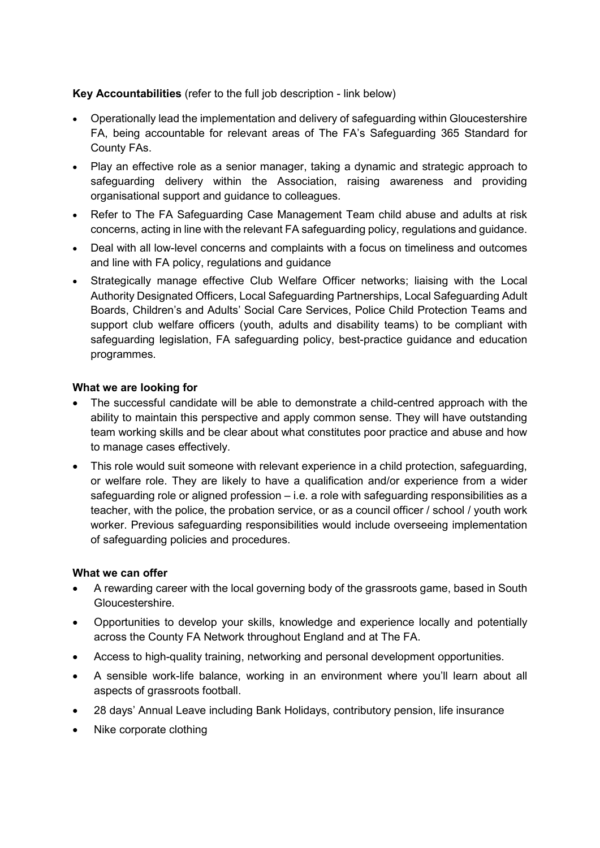## **Key Accountabilities** (refer to the full job description - link below)

- Operationally lead the implementation and delivery of safeguarding within Gloucestershire FA, being accountable for relevant areas of The FA's Safeguarding 365 Standard for County FAs.
- Play an effective role as a senior manager, taking a dynamic and strategic approach to safeguarding delivery within the Association, raising awareness and providing organisational support and guidance to colleagues.
- Refer to The FA Safeguarding Case Management Team child abuse and adults at risk concerns, acting in line with the relevant FA safeguarding policy, regulations and guidance.
- Deal with all low-level concerns and complaints with a focus on timeliness and outcomes and line with FA policy, regulations and guidance
- Strategically manage effective Club Welfare Officer networks; liaising with the Local Authority Designated Officers, Local Safeguarding Partnerships, Local Safeguarding Adult Boards, Children's and Adults' Social Care Services, Police Child Protection Teams and support club welfare officers (youth, adults and disability teams) to be compliant with safeguarding legislation, FA safeguarding policy, best-practice guidance and education programmes.

#### **What we are looking for**

- The successful candidate will be able to demonstrate a child-centred approach with the ability to maintain this perspective and apply common sense. They will have outstanding team working skills and be clear about what constitutes poor practice and abuse and how to manage cases effectively.
- This role would suit someone with relevant experience in a child protection, safeguarding, or welfare role. They are likely to have a qualification and/or experience from a wider safeguarding role or aligned profession – i.e. a role with safeguarding responsibilities as a teacher, with the police, the probation service, or as a council officer / school / youth work worker. Previous safeguarding responsibilities would include overseeing implementation of safeguarding policies and procedures.

#### **What we can offer**

- A rewarding career with the local governing body of the grassroots game, based in South Gloucestershire.
- Opportunities to develop your skills, knowledge and experience locally and potentially across the County FA Network throughout England and at The FA.
- Access to high-quality training, networking and personal development opportunities.
- A sensible work-life balance, working in an environment where you'll learn about all aspects of grassroots football.
- 28 days' Annual Leave including Bank Holidays, contributory pension, life insurance
- Nike corporate clothing